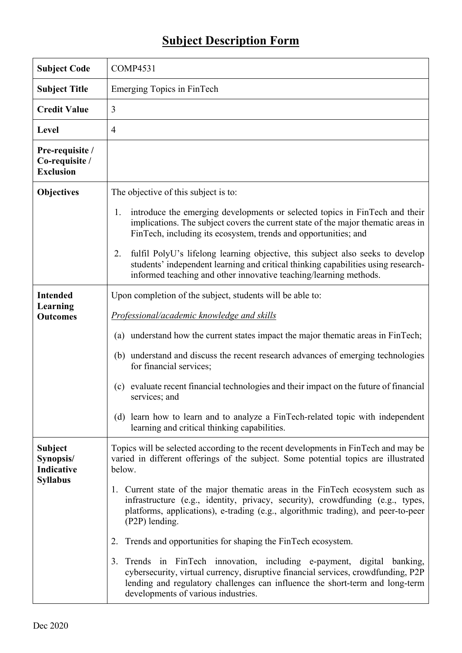## **Subject Description Form**

| <b>Subject Code</b>                                   | <b>COMP4531</b>                                                                                                                                                                                                                                                                          |  |  |
|-------------------------------------------------------|------------------------------------------------------------------------------------------------------------------------------------------------------------------------------------------------------------------------------------------------------------------------------------------|--|--|
| <b>Subject Title</b>                                  | Emerging Topics in FinTech                                                                                                                                                                                                                                                               |  |  |
| <b>Credit Value</b>                                   | 3                                                                                                                                                                                                                                                                                        |  |  |
| Level                                                 | $\overline{4}$                                                                                                                                                                                                                                                                           |  |  |
| Pre-requisite /<br>Co-requisite /<br><b>Exclusion</b> |                                                                                                                                                                                                                                                                                          |  |  |
| <b>Objectives</b>                                     | The objective of this subject is to:                                                                                                                                                                                                                                                     |  |  |
|                                                       | introduce the emerging developments or selected topics in FinTech and their<br>1.<br>implications. The subject covers the current state of the major thematic areas in<br>FinTech, including its ecosystem, trends and opportunities; and                                                |  |  |
|                                                       | fulfil PolyU's lifelong learning objective, this subject also seeks to develop<br>2.<br>students' independent learning and critical thinking capabilities using research-<br>informed teaching and other innovative teaching/learning methods.                                           |  |  |
| <b>Intended</b>                                       | Upon completion of the subject, students will be able to:                                                                                                                                                                                                                                |  |  |
| Learning<br><b>Outcomes</b>                           | Professional/academic knowledge and skills                                                                                                                                                                                                                                               |  |  |
|                                                       | understand how the current states impact the major thematic areas in FinTech;<br>(a)                                                                                                                                                                                                     |  |  |
|                                                       | (b) understand and discuss the recent research advances of emerging technologies<br>for financial services;                                                                                                                                                                              |  |  |
|                                                       | evaluate recent financial technologies and their impact on the future of financial<br>(c)<br>services; and                                                                                                                                                                               |  |  |
|                                                       | (d) learn how to learn and to analyze a FinTech-related topic with independent<br>learning and critical thinking capabilities.                                                                                                                                                           |  |  |
| <b>Subject</b><br>Synopsis/<br>Indicative             | Topics will be selected according to the recent developments in FinTech and may be<br>varied in different offerings of the subject. Some potential topics are illustrated<br>below.                                                                                                      |  |  |
| <b>Syllabus</b>                                       | 1. Current state of the major thematic areas in the FinTech ecosystem such as<br>infrastructure (e.g., identity, privacy, security), crowdfunding (e.g., types,<br>platforms, applications), e-trading (e.g., algorithmic trading), and peer-to-peer<br>(P2P) lending.                   |  |  |
|                                                       | 2. Trends and opportunities for shaping the FinTech ecosystem.                                                                                                                                                                                                                           |  |  |
|                                                       | Trends in FinTech innovation, including e-payment, digital<br>3.<br>banking,<br>cybersecurity, virtual currency, disruptive financial services, crowdfunding, P2P<br>lending and regulatory challenges can influence the short-term and long-term<br>developments of various industries. |  |  |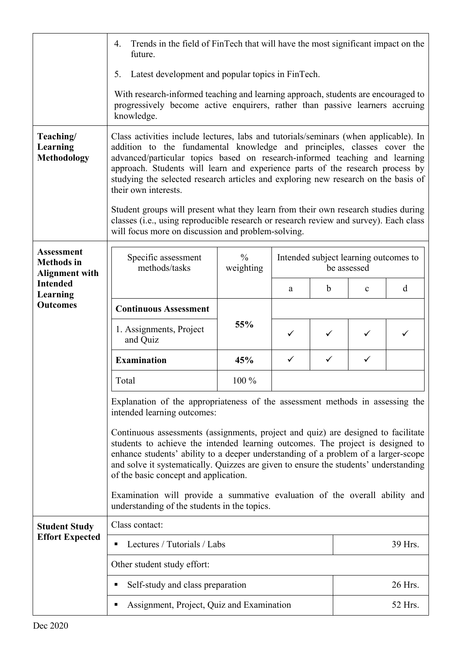|                                                                 | Trends in the field of FinTech that will have the most significant impact on the<br>4.<br>future.                                                                                                                                                                                                                                                                                                                                                                                                                                                                                                                            |                            |                                                      |              |             |   |  |
|-----------------------------------------------------------------|------------------------------------------------------------------------------------------------------------------------------------------------------------------------------------------------------------------------------------------------------------------------------------------------------------------------------------------------------------------------------------------------------------------------------------------------------------------------------------------------------------------------------------------------------------------------------------------------------------------------------|----------------------------|------------------------------------------------------|--------------|-------------|---|--|
|                                                                 | Latest development and popular topics in FinTech.<br>5.                                                                                                                                                                                                                                                                                                                                                                                                                                                                                                                                                                      |                            |                                                      |              |             |   |  |
|                                                                 | With research-informed teaching and learning approach, students are encouraged to<br>progressively become active enquirers, rather than passive learners accruing<br>knowledge.                                                                                                                                                                                                                                                                                                                                                                                                                                              |                            |                                                      |              |             |   |  |
| Teaching/<br>Learning<br><b>Methodology</b>                     | Class activities include lectures, labs and tutorials/seminars (when applicable). In<br>addition to the fundamental knowledge and principles, classes cover the<br>advanced/particular topics based on research-informed teaching and learning<br>approach. Students will learn and experience parts of the research process by<br>studying the selected research articles and exploring new research on the basis of<br>their own interests.<br>Student groups will present what they learn from their own research studies during<br>classes (i.e., using reproducible research or research review and survey). Each class |                            |                                                      |              |             |   |  |
|                                                                 | will focus more on discussion and problem-solving.                                                                                                                                                                                                                                                                                                                                                                                                                                                                                                                                                                           |                            |                                                      |              |             |   |  |
| <b>Assessment</b><br><b>Methods</b> in<br><b>Alignment with</b> | Specific assessment<br>methods/tasks                                                                                                                                                                                                                                                                                                                                                                                                                                                                                                                                                                                         | $\frac{0}{0}$<br>weighting | Intended subject learning outcomes to<br>be assessed |              |             |   |  |
| <b>Intended</b><br>Learning                                     |                                                                                                                                                                                                                                                                                                                                                                                                                                                                                                                                                                                                                              |                            | a                                                    | b            | $\mathbf c$ | d |  |
| <b>Outcomes</b>                                                 | <b>Continuous Assessment</b>                                                                                                                                                                                                                                                                                                                                                                                                                                                                                                                                                                                                 |                            |                                                      |              |             |   |  |
|                                                                 | 1. Assignments, Project<br>and Quiz                                                                                                                                                                                                                                                                                                                                                                                                                                                                                                                                                                                          | 55%                        | ✓                                                    | ✓            | ✓           | ✓ |  |
|                                                                 | <b>Examination</b>                                                                                                                                                                                                                                                                                                                                                                                                                                                                                                                                                                                                           | 45%                        | $\checkmark$                                         | $\checkmark$ |             |   |  |
|                                                                 | Total                                                                                                                                                                                                                                                                                                                                                                                                                                                                                                                                                                                                                        | 100 %                      |                                                      |              |             |   |  |
|                                                                 | Explanation of the appropriateness of the assessment methods in assessing the<br>intended learning outcomes:                                                                                                                                                                                                                                                                                                                                                                                                                                                                                                                 |                            |                                                      |              |             |   |  |
|                                                                 | Continuous assessments (assignments, project and quiz) are designed to facilitate<br>students to achieve the intended learning outcomes. The project is designed to<br>enhance students' ability to a deeper understanding of a problem of a larger-scope<br>and solve it systematically. Quizzes are given to ensure the students' understanding<br>of the basic concept and application.<br>Examination will provide a summative evaluation of the overall ability and<br>understanding of the students in the topics.                                                                                                     |                            |                                                      |              |             |   |  |
|                                                                 |                                                                                                                                                                                                                                                                                                                                                                                                                                                                                                                                                                                                                              |                            |                                                      |              |             |   |  |
| <b>Student Study</b>                                            | Class contact:                                                                                                                                                                                                                                                                                                                                                                                                                                                                                                                                                                                                               |                            |                                                      |              |             |   |  |
| <b>Effort Expected</b>                                          | Lectures / Tutorials / Labs                                                                                                                                                                                                                                                                                                                                                                                                                                                                                                                                                                                                  |                            |                                                      |              | 39 Hrs.     |   |  |
|                                                                 | Other student study effort:                                                                                                                                                                                                                                                                                                                                                                                                                                                                                                                                                                                                  |                            |                                                      |              |             |   |  |
|                                                                 | Self-study and class preparation<br>Assignment, Project, Quiz and Examination                                                                                                                                                                                                                                                                                                                                                                                                                                                                                                                                                |                            |                                                      |              | 26 Hrs.     |   |  |
|                                                                 |                                                                                                                                                                                                                                                                                                                                                                                                                                                                                                                                                                                                                              |                            |                                                      |              | 52 Hrs.     |   |  |